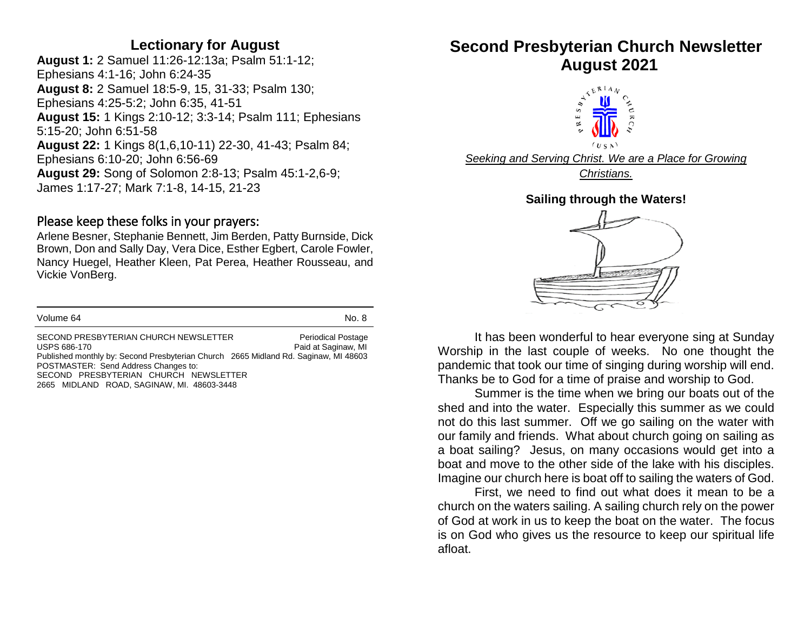### **Lectionary for August**

**August 1:** 2 Samuel 11:26-12:13a; Psalm 51:1-12; Ephesians 4:1-16; John 6:24-35 **August 8:** 2 Samuel 18:5-9, 15, 31-33; Psalm 130; Ephesians 4:25-5:2; John 6:35, 41-51 **August 15:** 1 Kings 2:10-12; 3:3-14; Psalm 111; Ephesians 5:15-20; John 6:51-58 **August 22:** 1 Kings 8(1,6,10-11) 22-30, 41-43; Psalm 84; Ephesians 6:10-20; John 6:56-69 **August 29:** Song of Solomon 2:8-13; Psalm 45:1-2,6-9; James 1:17-27; Mark 7:1-8, 14-15, 21-23

#### Please keep these folks in your prayers:

Arlene Besner, Stephanie Bennett, Jim Berden, Patty Burnside, Dick Brown, Don and Sally Day, Vera Dice, Esther Egbert, Carole Fowler, Nancy Huegel, Heather Kleen, Pat Perea, Heather Rousseau, and Vickie VonBerg.

| Volume 64                                                                                                                                    | No. 8                                            |  |  |  |
|----------------------------------------------------------------------------------------------------------------------------------------------|--------------------------------------------------|--|--|--|
| SECOND PRESBYTERIAN CHURCH NEWSLETTER<br>USPS 686-170<br>Published monthly by: Second Presbyterian Church 2665 Midland Rd. Saginaw, MI 48603 | <b>Periodical Postage</b><br>Paid at Saginaw, MI |  |  |  |
| POSTMASTER: Send Address Changes to:                                                                                                         |                                                  |  |  |  |
| SECOND PRESBYTERIAN CHURCH NEWSLETTER                                                                                                        |                                                  |  |  |  |
| 2665 MIDLAND ROAD SAGINAW MI 48603-3448                                                                                                      |                                                  |  |  |  |

# **Second Presbyterian Church Newsletter August 2021**



*Seeking and Serving Christ. We are a Place for Growing Christians.*

#### **Sailing through the Waters!**



It has been wonderful to hear everyone sing at Sunday Worship in the last couple of weeks. No one thought the pandemic that took our time of singing during worship will end. Thanks be to God for a time of praise and worship to God.

Summer is the time when we bring our boats out of the shed and into the water. Especially this summer as we could not do this last summer. Off we go sailing on the water with our family and friends. What about church going on sailing as a boat sailing? Jesus, on many occasions would get into a boat and move to the other side of the lake with his disciples. Imagine our church here is boat off to sailing the waters of God.

First, we need to find out what does it mean to be a church on the waters sailing. A sailing church rely on the power of God at work in us to keep the boat on the water. The focus is on God who gives us the resource to keep our spiritual life afloat.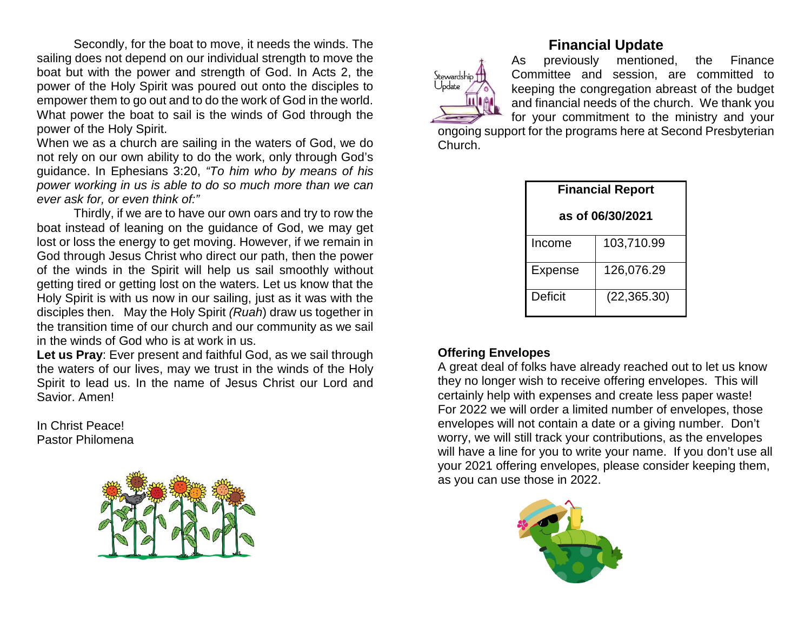Secondly, for the boat to move, it needs the winds. The sailing does not depend on our individual strength to move the boat but with the power and strength of God. In Acts 2, the power of the Holy Spirit was poured out onto the disciples to empower them to go out and to do the work of God in the world. What power the boat to sail is the winds of God through the power of the Holy Spirit.

When we as a church are sailing in the waters of God, we do not rely on our own ability to do the work, only through God's guidance. In Ephesians 3:20, *"To him who by means of his power working in us is able to do so much more than we can ever ask for, or even think of:"*

Thirdly, if we are to have our own oars and try to row the boat instead of leaning on the guidance of God, we may get lost or loss the energy to get moving. However, if we remain in God through Jesus Christ who direct our path, then the power of the winds in the Spirit will help us sail smoothly without getting tired or getting lost on the waters. Let us know that the Holy Spirit is with us now in our sailing, just as it was with the disciples then. May the Holy Spirit *(Ruah*) draw us together in the transition time of our church and our community as we sail in the winds of God who is at work in us.

**Let us Pray**: Ever present and faithful God, as we sail through the waters of our lives, may we trust in the winds of the Holy Spirit to lead us. In the name of Jesus Christ our Lord and Savior. Amen!

In Christ Peace! Pastor Philomena



# **Financial Update**

As previously mentioned, the Finance Committee and session, are committed to keeping the congregation abreast of the budget and financial needs of the church. We thank you for your commitment to the ministry and your

ongoing support for the programs here at Second Presbyterian Church.

| <b>Financial Report</b> |              |  |  |
|-------------------------|--------------|--|--|
| as of 06/30/2021        |              |  |  |
| Income                  | 103,710.99   |  |  |
| <b>Expense</b>          | 126,076.29   |  |  |
| Deficit                 | (22, 365.30) |  |  |

#### **Offering Envelopes**

Stewardship Uodate

A great deal of folks have already reached out to let us know they no longer wish to receive offering envelopes. This will certainly help with expenses and create less paper waste! For 2022 we will order a limited number of envelopes, those envelopes will not contain a date or a giving number. Don't worry, we will still track your contributions, as the envelopes will have a line for you to write your name. If you don't use all your 2021 offering envelopes, please consider keeping them, as you can use those in 2022.

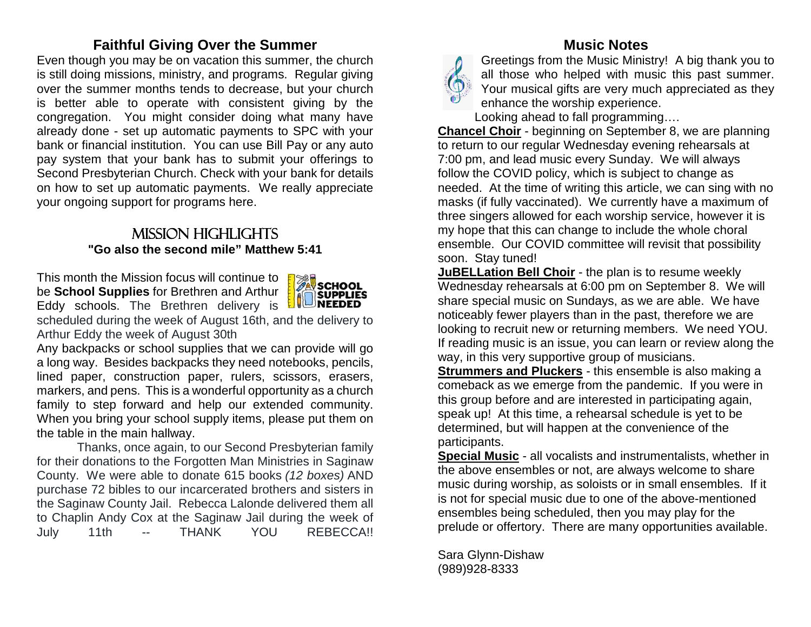# **Faithful Giving Over the Summer**

Even though you may be on vacation this summer, the church is still doing missions, ministry, and programs. Regular giving over the summer months tends to decrease, but your church is better able to operate with consistent giving by the congregation. You might consider doing what many have already done - set up automatic payments to SPC with your bank or financial institution. You can use Bill Pay or any auto pay system that your bank has to submit your offerings to Second Presbyterian Church. Check with your bank for details on how to set up automatic payments. We really appreciate your ongoing support for programs here.

## Mission highlights **"Go also the second mile" Matthew 5:41**

This month the Mission focus will continue to be **School Supplies** for Brethren and Arthur Eddy schools. The Brethren delivery is scheduled during the week of August 16th, and the delivery to Arthur Eddy the week of August 30th



Any backpacks or school supplies that we can provide will go a long way. Besides backpacks they need notebooks, pencils, lined paper, construction paper, rulers, scissors, erasers, markers, and pens. This is a wonderful opportunity as a church family to step forward and help our extended community. When you bring your school supply items, please put them on the table in the main hallway.

Thanks, once again, to our Second Presbyterian family for their donations to the Forgotten Man Ministries in Saginaw County. We were able to donate 615 books *(12 boxes)* AND purchase 72 bibles to our incarcerated brothers and sisters in the Saginaw County Jail. Rebecca Lalonde delivered them all to Chaplin Andy Cox at the Saginaw Jail during the week of July 11th -- THANK YOU REBECCA!!

# **Music Notes**



Greetings from the Music Ministry! A big thank you to all those who helped with music this past summer. Your musical gifts are very much appreciated as they enhance the worship experience.

Looking ahead to fall programming….

**Chancel Choir** - beginning on September 8, we are planning to return to our regular Wednesday evening rehearsals at 7:00 pm, and lead music every Sunday. We will always follow the COVID policy, which is subject to change as needed. At the time of writing this article, we can sing with no masks (if fully vaccinated). We currently have a maximum of three singers allowed for each worship service, however it is my hope that this can change to include the whole choral ensemble. Our COVID committee will revisit that possibility soon. Stay tuned!

**JuBELLation Bell Choir** - the plan is to resume weekly Wednesday rehearsals at 6:00 pm on September 8. We will share special music on Sundays, as we are able. We have noticeably fewer players than in the past, therefore we are looking to recruit new or returning members. We need YOU. If reading music is an issue, you can learn or review along the way, in this very supportive group of musicians.

**Strummers and Pluckers** - this ensemble is also making a comeback as we emerge from the pandemic. If you were in this group before and are interested in participating again, speak up! At this time, a rehearsal schedule is yet to be determined, but will happen at the convenience of the participants.

**Special Music** - all vocalists and instrumentalists, whether in the above ensembles or not, are always welcome to share music during worship, as soloists or in small ensembles. If it is not for special music due to one of the above-mentioned ensembles being scheduled, then you may play for the prelude or offertory. There are many opportunities available.

Sara Glynn-Dishaw (989)928-8333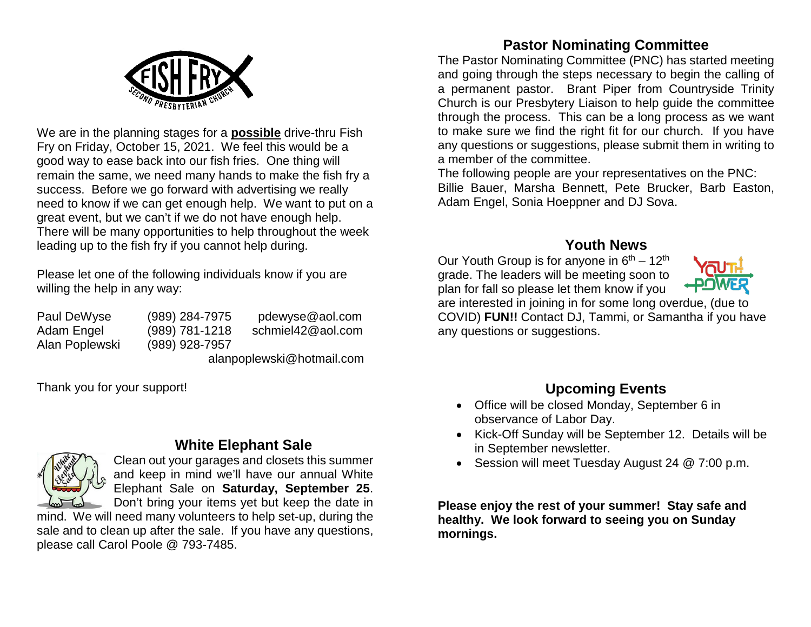

We are in the planning stages for a **possible** drive-thru Fish Fry on Friday, October 15, 2021. We feel this would be a good way to ease back into our fish fries. One thing will remain the same, we need many hands to make the fish fry a success. Before we go forward with advertising we really need to know if we can get enough help. We want to put on a great event, but we can't if we do not have enough help. There will be many opportunities to help throughout the week leading up to the fish fry if you cannot help during.

Please let one of the following individuals know if you are willing the help in any way:

Alan Poplewski (989) 928-7957

Paul DeWyse (989) 284-7975 pdewyse@aol.com Adam Engel (989) 781-1218 schmiel42@aol.com

alanpoplewski@hotmail.com

Thank you for your support!

# **White Elephant Sale**



Clean out your garages and closets this summer and keep in mind we'll have our annual White Elephant Sale on **Saturday, September 25**. Don't bring your items yet but keep the date in

mind. We will need many volunteers to help set-up, during the sale and to clean up after the sale. If you have any questions, please call Carol Poole @ 793-7485.

# **Pastor Nominating Committee**

The Pastor Nominating Committee (PNC) has started meeting and going through the steps necessary to begin the calling of a permanent pastor. Brant Piper from Countryside Trinity Church is our Presbytery Liaison to help guide the committee through the process. This can be a long process as we want to make sure we find the right fit for our church. If you have any questions or suggestions, please submit them in writing to a member of the committee.

The following people are your representatives on the PNC: Billie Bauer, Marsha Bennett, Pete Brucker, Barb Easton, Adam Engel, Sonia Hoeppner and DJ Sova.

## **Youth News**

Our Youth Group is for anyone in  $6<sup>th</sup> - 12<sup>th</sup>$ grade. The leaders will be meeting soon to plan for fall so please let them know if you



are interested in joining in for some long overdue, (due to COVID) **FUN!!** Contact DJ, Tammi, or Samantha if you have any questions or suggestions.

# **Upcoming Events**

- Office will be closed Monday, September 6 in observance of Labor Day.
- Kick-Off Sunday will be September 12. Details will be in September newsletter.
- Session will meet Tuesday August 24 @ 7:00 p.m.

**Please enjoy the rest of your summer! Stay safe and healthy. We look forward to seeing you on Sunday mornings.**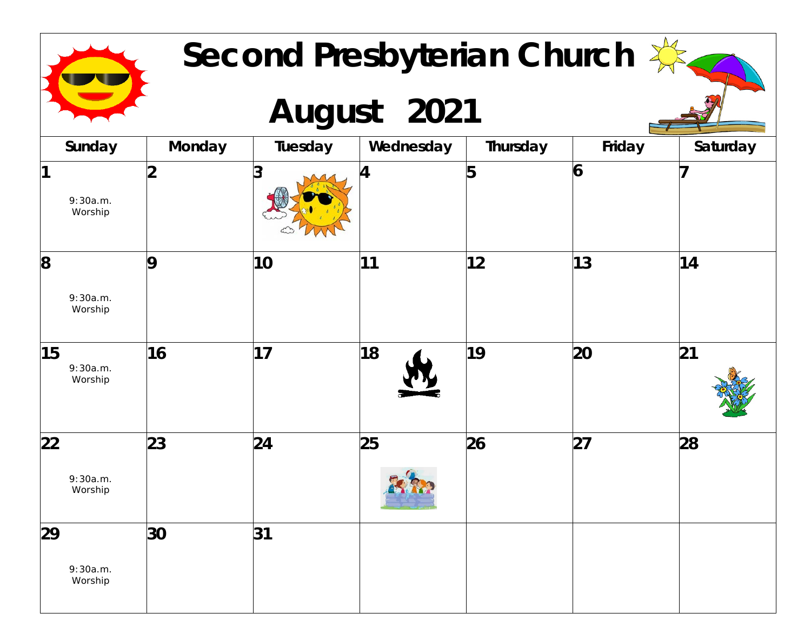| Second Presbyterian Church |               |         |           |          |        |          |  |
|----------------------------|---------------|---------|-----------|----------|--------|----------|--|
| August 2021                |               |         |           |          |        |          |  |
| Sunday                     | <b>Monday</b> | Tuesday | Wednesday | Thursday | Friday | Saturday |  |
| 11<br>9:30a.m.<br>Worship  | າ             | 3       | 4         | 5        | 6      |          |  |
| 8<br>9:30a.m.<br>Worship   | 9             | 10      | 11        | 12       | 13     | 14       |  |
| 15<br>9:30a.m.<br>Worship  | 16            | 17      | 18        | 19       | 20     | 21       |  |
| 22<br>9:30a.m.<br>Worship  | 23            | 24      | 25        | 26       | 27     | 28       |  |
| 29<br>9:30a.m.<br>Worship  | 30            | 31      |           |          |        |          |  |